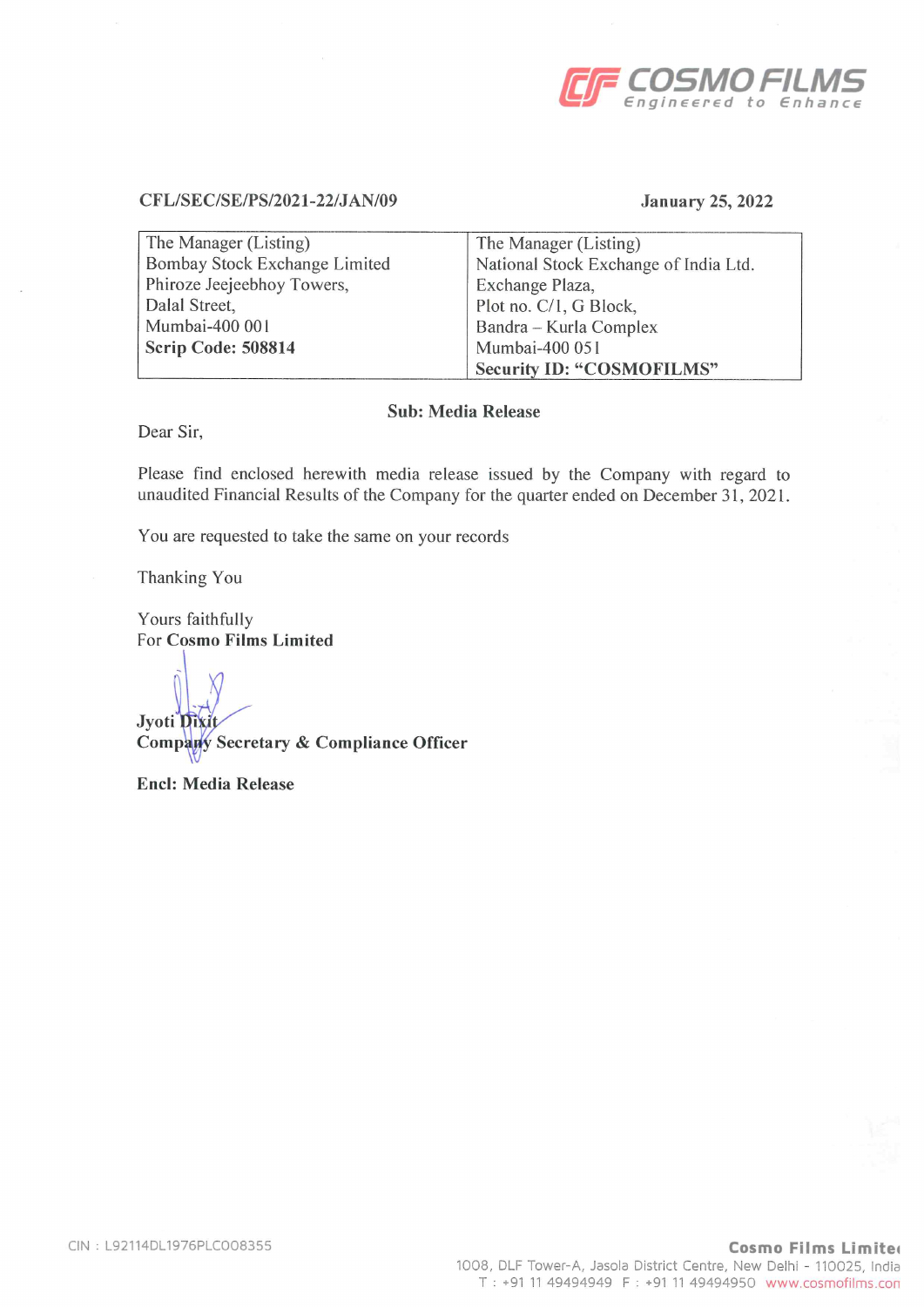

## CFL/SEC/SE/PS/2021-22/JAN/09 January 25,2022

| The Manager (Listing)         | The Manager (Listing)                 |
|-------------------------------|---------------------------------------|
| Bombay Stock Exchange Limited | National Stock Exchange of India Ltd. |
| Phiroze Jeejeebhoy Towers,    | Exchange Plaza,                       |
| Dalal Street,                 | Plot no. C/1, G Block,                |
| Mumbai-400 001                | Bandra – Kurla Complex                |
| Scrip Code: 508814            | Mumbai-400 051                        |
|                               | <b>Security ID: "COSMOFILMS"</b>      |

# Sub: Media Release

Dear Sir,

Please find enclosed herewith media release issued by the Company with regard to unaudited Financial Results of the Company for the quarter ended on December 31, 2021.

You are requested to take the same on your records

Thanking You

Yours faithfully For Cosmo Films Limited

Jyoti Di Comp Secretary & Compliance Officer

End: Media Release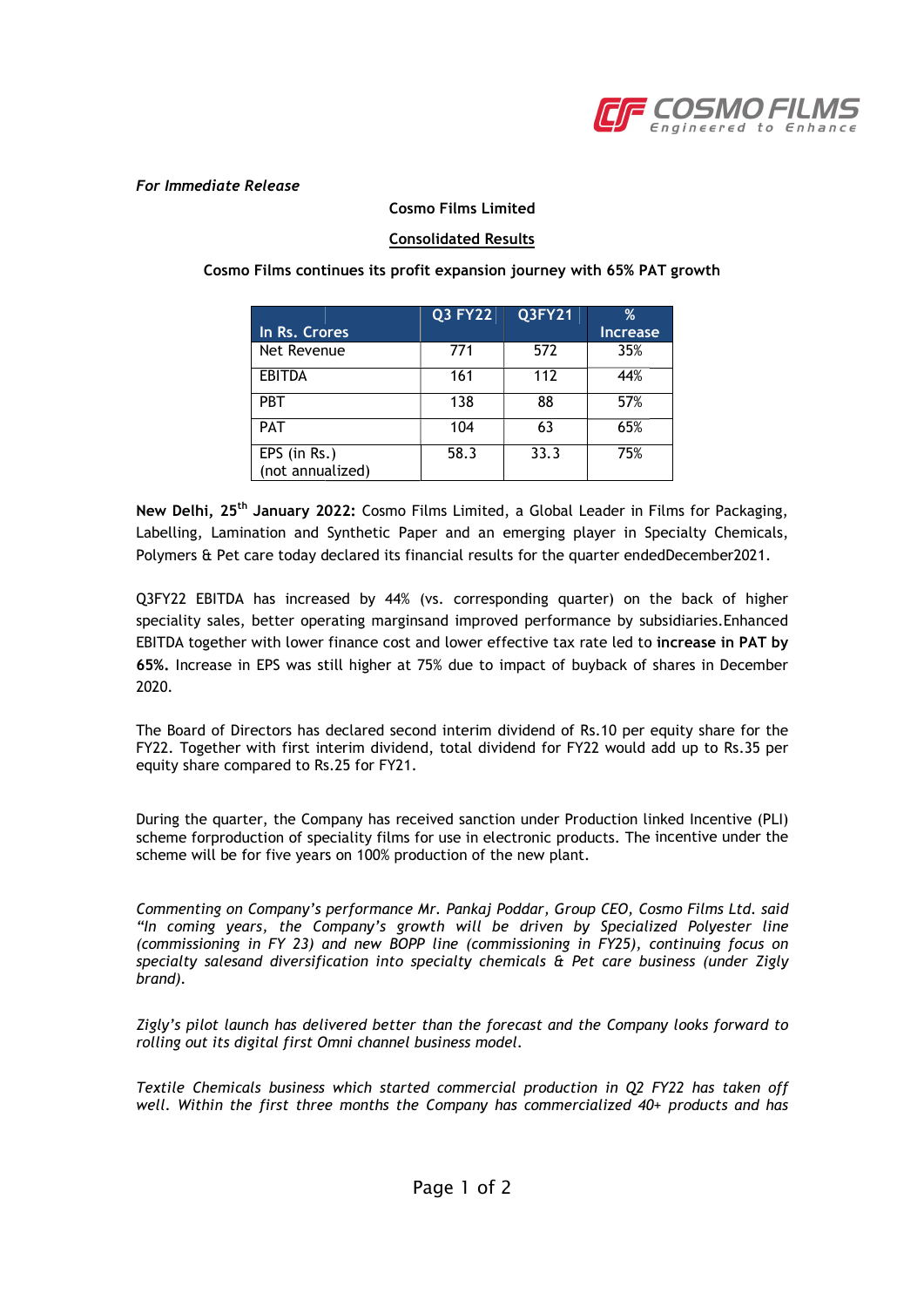

#### For Immediate Release

#### Cosmo Films Limited

## Consolidated Results

Cosmo Films continues its profit expansion journey with 65% PAT growth Cosmo Films continues its profit expansion journey with 65% PAT growth

|                                  | <b>Q3 FY22</b> | Q3FY21 | %               |
|----------------------------------|----------------|--------|-----------------|
| In Rs. Crores                    |                |        | <b>Increase</b> |
| Net Revenue                      | 771            | 572    | 35%             |
| <b>EBITDA</b>                    | 161            | 112    | 44%             |
| <b>PBT</b>                       | 138            | 88     | 57%             |
| PAT                              | 104            | 63     | 65%             |
| EPS (in Rs.)<br>(not annualized) | 58.3           | 33.3   | 75%             |

New Delhi, 25<sup>th</sup> January 2022: Cosmo Films Limited, a Global Leader in Films for Packaging, Labelling, Lamination and Synthetic Paper and an emerging player in Specialty Chemicals, Polymers & Pet care today declared its financial results for the quarter endedDecember2021.

Q3FY22 EBITDA has increased by 44% (vs. corresponding quarter) on the back of higher speciality sales, better operating marginsand improved performance by subsidiaries.Enhanced EBITDA together with lower finance cost and lower effective tax rate led to increase in PAT by **65%.** Increase in EPS was still higher at 75% due to impact of buyback of shares in December 2020.

The Board of Directors has declared second interim dividend of Rs.10 per equity share for the FY22. Together with first interim dividend, total dividend for FY22 would add up to Rs.35 per equity share compared to Rs.25 for FY21.

equity share compared to Rs.25 for FY21.<br>During the quarter, the Company has received sanction under Production linked Incentive (PLI) scheme forproduction of speciality films for use in electronic products. The incentive under the scheme will be for five years on 100% production of the new plant.

Commenting on Company's performance Mr. Pankaj Poddar, Group CEO, Cosmo Films Ltd. said CEO, Cosmo Films Ltd. said "In coming years, the Company's growth will be driven by Specialized Polyester line (commissioning in FY 23) and new BOPP line (commissioning in FY25), continuing , continuing focus on specialty salesand diversification into specialty chemicals & Pet care business business (under Zigly brand).

Zigly's pilot launch has delivered better than the forecast and the Company looks forward to rolling out its digital first Omni channel business model.

Textile Chemicals business which started commercial production in Q2 FY22 has taken off Textile Chemicals business which started commercial production in Q2 FY22 has taken off well. Within the first three months the Company has commercialized 40+ products and has